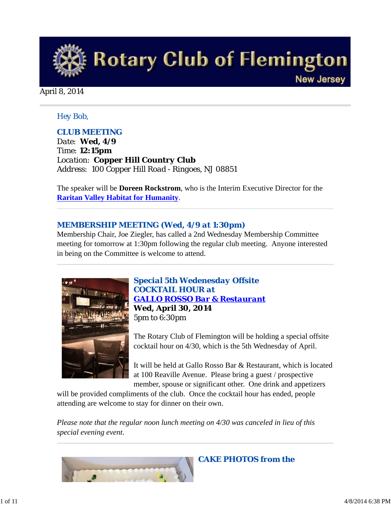

April 8, 2014

#### *Hey Bob,*

## *CLUB MEETING*

*Date: Wed, 4/9 Time: 12:15pm Location: Copper Hill Country Club Address: 100 Copper Hill Road - Ringoes, NJ 08851*

The speaker will be **Doreen Rockstrom**, who is the Interim Executive Director for the **Raritan Valley Habitat for Humanity**.

## *MEMBERSHIP MEETING (Wed, 4/9 at 1:30pm)*

Membership Chair, Joe Ziegler, has called a 2nd Wednesday Membership Committee meeting for tomorrow at 1:30pm following the regular club meeting. Anyone interested in being on the Committee is welcome to attend.



*Special 5th Wedenesday Offsite COCKTAIL HOUR at GALLO ROSSO Bar & Restaurant* **Wed, April 30, 2014** 5pm to 6:30pm

The Rotary Club of Flemington will be holding a special offsite cocktail hour on 4/30, which is the 5th Wednesday of April.

It will be held at Gallo Rosso Bar & Restaurant, which is located at 100 Reaville Avenue. Please bring a guest / prospective member, spouse or significant other. One drink and appetizers

will be provided compliments of the club. Once the cocktail hour has ended, people attending are welcome to stay for dinner on their own.

*Please note that the regular noon lunch meeting on 4/30 was canceled in lieu of this special evening event*.



*CAKE PHOTOS from the*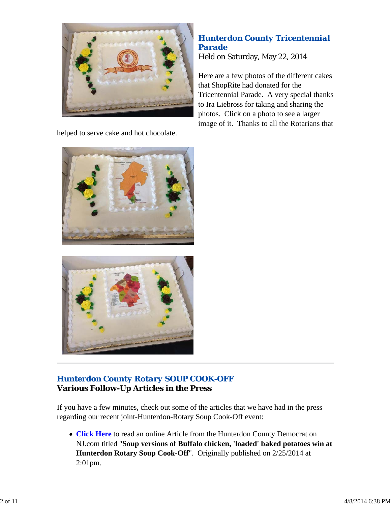

helped to serve cake and hot chocolate.

## *Hunterdon County Tricentennial Parade* Held on Saturday, May 22, 2014

Here are a few photos of the different cakes that ShopRite had donated for the Tricentennial Parade. A very special thanks to Ira Liebross for taking and sharing the photos. Click on a photo to see a larger image of it. Thanks to all the Rotarians that





# *Hunterdon County Rotary SOUP COOK-OFF* **Various Follow-Up Articles in the Press**

If you have a few minutes, check out some of the articles that we have had in the press regarding our recent joint-Hunterdon-Rotary Soup Cook-Off event:

**Click Here** to read an online Article from the Hunterdon County Democrat on NJ.com titled "**Soup versions of Buffalo chicken, 'loaded' baked potatoes win at Hunterdon Rotary Soup Cook-Off**". Originally published on 2/25/2014 at 2:01pm.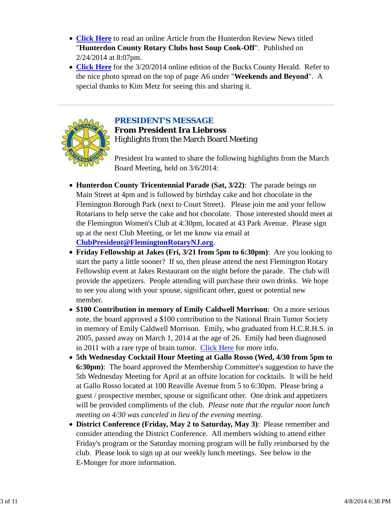- **Click Here** to read an online Article from the Hunterdon Review News titled "**Hunterdon County Rotary Clubs host Soup Cook-Off**". Published on 2/24/2014 at 8:07pm.
- **Click Here** for the 3/20/2014 online edition of the Bucks County Herald. Refer to the nice photo spread on the top of page A6 under "**Weekends and Beyond**". A special thanks to Kim Metz for seeing this and sharing it.



## *PRESIDENT'S MESSAGE*

**From President Ira Liebross** Highlights from the March Board Meeting

President Ira wanted to share the following highlights from the March Board Meeting, held on 3/6/2014:

**Hunterdon County Tricentennial Parade (Sat, 3/22)**: The parade beings on Main Street at 4pm and is followed by birthday cake and hot chocolate in the Flemington Borough Park (next to Court Street). Please join me and your fellow Rotarians to help serve the cake and hot chocolate. Those interested should meet at the Flemington Women's Club at 4:30pm, located at 43 Park Avenue. Please sign up at the next Club Meeting, or let me know via email at **ClubPresident@FlemingtonRotaryNJ.org**.

**Friday Fellowship at Jakes (Fri, 3/21 from 5pm to 6:30pm)**: Are you looking to start the party a little sooner? If so, then please attend the next Flemington Rotary Fellowship event at Jakes Restaurant on the night before the parade. The club will provide the appetizers. People attending will purchase their own drinks. We hope to see you along with your spouse, significant other, guest or potential new member.

- **\$100 Contribution in memory of Emily Caldwell Morrison**: On a more serious note, the board approved a \$100 contribution to the National Brain Tumor Society in memory of Emily Caldwell Morrison. Emily, who graduated from H.C.R.H.S. in 2005, passed away on March 1, 2014 at the age of 26. Emily had been diagnosed in 2011 with a rare type of brain tumor. Click Here for more info.
- **5th Wednesday Cocktail Hour Meeting at Gallo Rosso (Wed, 4/30 from 5pm to 6:30pm)**: The board approved the Membership Committee's suggestion to have the 5th Wednesday Meeting for April at an offsite location for cocktails. It will be held at Gallo Rosso located at 100 Reaville Avenue from 5 to 6:30pm. Please bring a guest / prospective member, spouse or significant other. One drink and appetizers will be provided compliments of the club. *Please note that the regular noon lunch meeting on 4/30 was canceled in lieu of the evening meeting*.
- **District Conference (Friday, May 2 to Saturday, May 3)**: Please remember and consider attending the District Conference. All members wishing to attend either Friday's program or the Saturday morning program will be fully reimbursed by the club. Please look to sign up at our weekly lunch meetings. See below in the E-Monger for more information.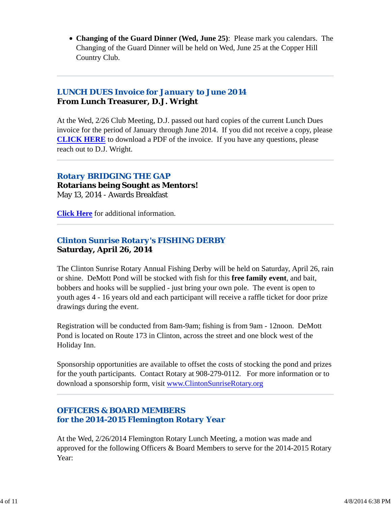**Changing of the Guard Dinner (Wed, June 25)**: Please mark you calendars. The Changing of the Guard Dinner will be held on Wed, June 25 at the Copper Hill Country Club.

## *LUNCH DUES Invoice for January to June 2014* **From Lunch Treasurer, D.J. Wright**

At the Wed, 2/26 Club Meeting, D.J. passed out hard copies of the current Lunch Dues invoice for the period of January through June 2014. If you did not receive a copy, please **CLICK HERE** to download a PDF of the invoice. If you have any questions, please reach out to D.J. Wright.

## *Rotary BRIDGING THE GAP*

**Rotarians being Sought as Mentors!** May 13, 2014 - Awards Breakfast

**Click Here** for additional information.

## *Clinton Sunrise Rotary's FISHING DERBY* **Saturday, April 26, 2014**

The Clinton Sunrise Rotary Annual Fishing Derby will be held on Saturday, April 26, rain or shine. DeMott Pond will be stocked with fish for this **free family event**, and bait, bobbers and hooks will be supplied - just bring your own pole. The event is open to youth ages 4 - 16 years old and each participant will receive a raffle ticket for door prize drawings during the event.

Registration will be conducted from 8am-9am; fishing is from 9am - 12noon. DeMott Pond is located on Route 173 in Clinton, across the street and one block west of the Holiday Inn.

Sponsorship opportunities are available to offset the costs of stocking the pond and prizes for the youth participants. Contact Rotary at 908-279-0112. For more information or to download a sponsorship form, visit www.ClintonSunriseRotary.org

## *OFFICERS & BOARD MEMBERS for the 2014-2015 Flemington Rotary Year*

At the Wed, 2/26/2014 Flemington Rotary Lunch Meeting, a motion was made and approved for the following Officers & Board Members to serve for the 2014-2015 Rotary Year: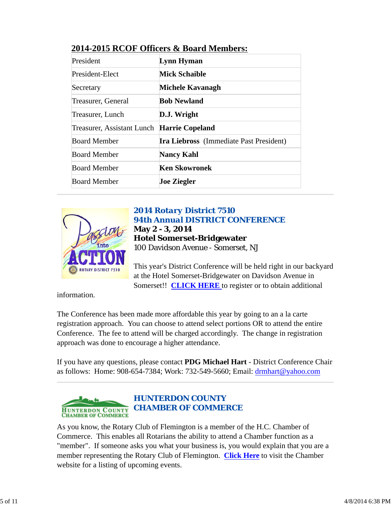| President                                  | Lynn Hyman                                     |
|--------------------------------------------|------------------------------------------------|
| President-Elect                            | <b>Mick Schaible</b>                           |
| Secretary                                  | Michele Kavanagh                               |
| Treasurer, General                         | <b>Bob Newland</b>                             |
| Treasurer, Lunch                           | D.J. Wright                                    |
| Treasurer, Assistant Lunch Harrie Copeland |                                                |
| <b>Board Member</b>                        | <b>Ira Liebross</b> (Immediate Past President) |
| <b>Board Member</b>                        | <b>Nancy Kahl</b>                              |
| <b>Board Member</b>                        | Ken Skowronek                                  |
| <b>Board Member</b>                        | <b>Joe Ziegler</b>                             |

## **2014-2015 RCOF Officers & Board Members:**



## *2014 Rotary District 7510 94th Annual DISTRICT CONFERENCE* **May 2 - 3, 2014 Hotel Somerset-Bridgewater** 100 Davidson Avenue - Somerset, NJ

This year's District Conference will be held right in our backyard at the Hotel Somerset-Bridgewater on Davidson Avenue in Somerset!! **CLICK HERE** to register or to obtain additional

information.

The Conference has been made more affordable this year by going to an a la carte registration approach. You can choose to attend select portions OR to attend the entire Conference. The fee to attend will be charged accordingly. The change in registration approach was done to encourage a higher attendance.

If you have any questions, please contact **PDG Michael Hart** - District Conference Chair as follows: Home: 908-654-7384; Work: 732-549-5660; Email: drmhart@yahoo.com



As you know, the Rotary Club of Flemington is a member of the H.C. Chamber of Commerce. This enables all Rotarians the ability to attend a Chamber function as a "member". If someone asks you what your business is, you would explain that you are a member representing the Rotary Club of Flemington. **Click Here** to visit the Chamber website for a listing of upcoming events.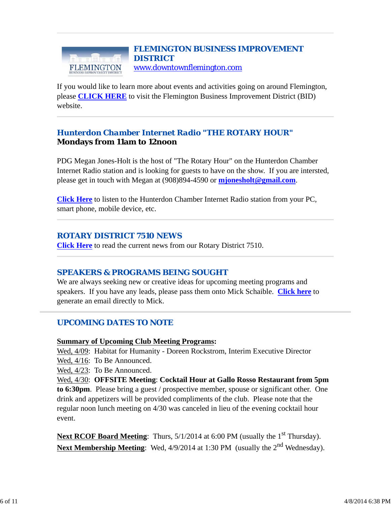#### *FLEMINGTON BUSINESS IMPROVEMENT DISTRICT* www.downtownflemington.com FLEMINGTON

If you would like to learn more about events and activities going on around Flemington, please **CLICK HERE** to visit the Flemington Business Improvement District (BID) website.

## *Hunterdon Chamber Internet Radio "THE ROTARY HOUR"* **Mondays from 11am to 12noon**

PDG Megan Jones-Holt is the host of "The Rotary Hour" on the Hunterdon Chamber Internet Radio station and is looking for guests to have on the show. If you are intersted, please get in touch with Megan at (908)894-4590 or **mjonesholt@gmail.com**.

**Click Here** to listen to the Hunterdon Chamber Internet Radio station from your PC, smart phone, mobile device, etc.

## *ROTARY DISTRICT 7510 NEWS*

**Click Here** to read the current news from our Rotary District 7510.

## *SPEAKERS & PROGRAMS BEING SOUGHT*

We are always seeking new or creative ideas for upcoming meeting programs and speakers. If you have any leads, please pass them onto Mick Schaible. **Click here** to generate an email directly to Mick.

## *UPCOMING DATES TO NOTE*

#### **Summary of Upcoming Club Meeting Programs:**

Wed, 4/09: Habitat for Humanity - Doreen Rockstrom, Interim Executive Director

Wed, 4/16: To Be Announced.

Wed, 4/23: To Be Announced.

Wed, 4/30: **OFFSITE Meeting**: **Cocktail Hour at Gallo Rosso Restaurant from 5pm to 6:30pm**. Please bring a guest / prospective member, spouse or significant other. One drink and appetizers will be provided compliments of the club. Please note that the regular noon lunch meeting on 4/30 was canceled in lieu of the evening cocktail hour event.

**Next RCOF Board Meeting:** Thurs, 5/1/2014 at 6:00 PM (usually the 1<sup>st</sup> Thursday). Next Membership Meeting: Wed, 4/9/2014 at 1:30 PM (usually the 2<sup>nd</sup> Wednesday).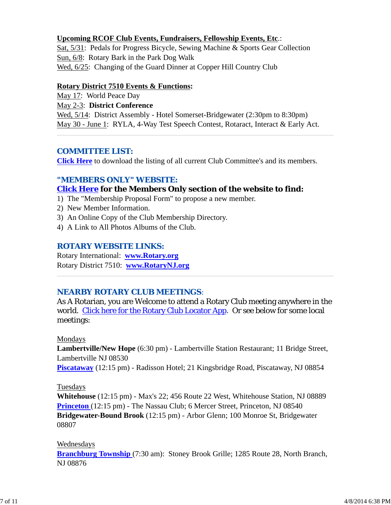#### **Upcoming RCOF Club Events, Fundraisers, Fellowship Events, Etc**.:

Sat, 5/31: Pedals for Progress Bicycle, Sewing Machine & Sports Gear Collection Sun, 6/8: Rotary Bark in the Park Dog Walk Wed,  $6/25$ : Changing of the Guard Dinner at Copper Hill Country Club

#### **Rotary District 7510 Events & Functions:**

May 17: World Peace Day

May 2-3: **District Conference**

Wed, 5/14: District Assembly - Hotel Somerset-Bridgewater (2:30pm to 8:30pm) May 30 - June 1: RYLA, 4-Way Test Speech Contest, Rotaract, Interact & Early Act.

## *COMMITTEE LIST:*

**Click Here** to download the listing of all current Club Committee's and its members.

#### *"MEMBERS ONLY" WEBSITE:*

#### **Click Here for the Members Only section of the website to find:**

- 1) The "Membership Proposal Form" to propose a new member.
- 2) New Member Information.
- 3) An Online Copy of the Club Membership Directory.
- 4) A Link to All Photos Albums of the Club.

## *ROTARY WEBSITE LINKS:*

Rotary International: **www.Rotary.org** Rotary District 7510: **www.RotaryNJ.org**

## *NEARBY ROTARY CLUB MEETINGS:*

As A Rotarian, you are Welcome to attend a Rotary Club meeting anywhere in the world. Click here for the Rotary Club Locator App. Or see below for some local meetings:

#### Mondays

**Lambertville/New Hope** (6:30 pm) - Lambertville Station Restaurant; 11 Bridge Street, Lambertville NJ 08530

**Piscataway** (12:15 pm) - Radisson Hotel; 21 Kingsbridge Road, Piscataway, NJ 08854

#### Tuesdays

**Whitehouse** (12:15 pm) - Max's 22; 456 Route 22 West, Whitehouse Station, NJ 08889 **Princeton** (12:15 pm) - The Nassau Club; 6 Mercer Street, Princeton, NJ 08540 **Bridgewater-Bound Brook** (12:15 pm) - Arbor Glenn; 100 Monroe St, Bridgewater 08807

#### Wednesdays

**Branchburg Township** (7:30 am): Stoney Brook Grille; 1285 Route 28, North Branch, NJ 08876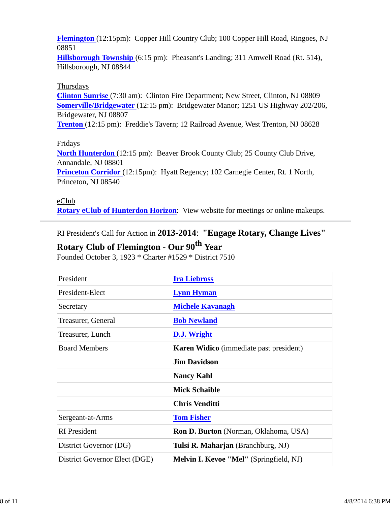**Flemington** (12:15pm): Copper Hill Country Club; 100 Copper Hill Road, Ringoes, NJ 08851

**Hillsborough Township** (6:15 pm): Pheasant's Landing; 311 Amwell Road (Rt. 514), Hillsborough, NJ 08844

#### Thursdays

**Clinton Sunrise** (7:30 am): Clinton Fire Department; New Street, Clinton, NJ 08809 **Somerville/Bridgewater** (12:15 pm): Bridgewater Manor; 1251 US Highway 202/206, Bridgewater, NJ 08807

**Trenton** (12:15 pm): Freddie's Tavern; 12 Railroad Avenue, West Trenton, NJ 08628

#### Fridays

**North Hunterdon** (12:15 pm): Beaver Brook County Club; 25 County Club Drive, Annandale, NJ 08801

**Princeton Corridor** (12:15pm): Hyatt Regency; 102 Carnegie Center, Rt. 1 North, Princeton, NJ 08540

#### eClub

**Rotary eClub of Hunterdon Horizon**: View website for meetings or online makeups.

RI President's Call for Action in **2013-2014**: **"Engage Rotary, Change Lives"**

# **Rotary Club of Flemington - Our 90th Year**

Founded October 3, 1923 \* Charter #1529 \* District 7510

| President                     | <b>Ira Liebross</b>                            |  |  |
|-------------------------------|------------------------------------------------|--|--|
| President-Elect               | <b>Lynn Hyman</b>                              |  |  |
| Secretary                     | <b>Michele Kavanagh</b>                        |  |  |
| Treasurer, General            | <b>Bob Newland</b>                             |  |  |
| Treasurer, Lunch              | D.J. Wright                                    |  |  |
| <b>Board Members</b>          | <b>Karen Widico</b> (immediate past president) |  |  |
|                               | <b>Jim Davidson</b>                            |  |  |
|                               | <b>Nancy Kahl</b>                              |  |  |
|                               | <b>Mick Schaible</b>                           |  |  |
|                               | <b>Chris Venditti</b>                          |  |  |
| Sergeant-at-Arms              | <b>Tom Fisher</b>                              |  |  |
| <b>RI</b> President           | <b>Ron D. Burton</b> (Norman, Oklahoma, USA)   |  |  |
| District Governor (DG)        | Tulsi R. Maharjan (Branchburg, NJ)             |  |  |
| District Governor Elect (DGE) | Melvin I. Kevoe "Mel" (Springfield, NJ)        |  |  |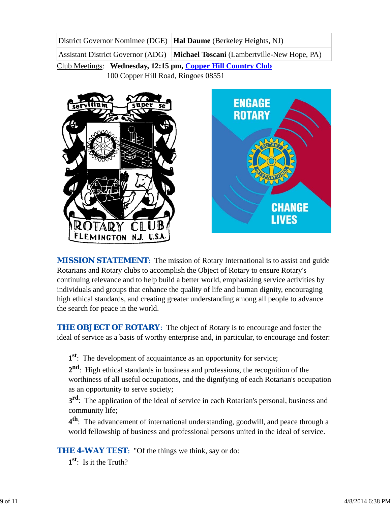District Governor Nomimee (DGE) **Hal Daume** (Berkeley Heights, NJ)

Assistant District Governor (ADG) **Michael Toscani** (Lambertville-New Hope, PA)

Club Meetings: **Wednesday, 12:15 pm, Copper Hill Country Club** 100 Copper Hill Road, Ringoes 08551





*MISSION STATEMENT*: The mission of Rotary International is to assist and guide Rotarians and Rotary clubs to accomplish the Object of Rotary to ensure Rotary's continuing relevance and to help build a better world, emphasizing service activities by individuals and groups that enhance the quality of life and human dignity, encouraging high ethical standards, and creating greater understanding among all people to advance the search for peace in the world.

**THE OBJECT OF ROTARY:** The object of Rotary is to encourage and foster the ideal of service as a basis of worthy enterprise and, in particular, to encourage and foster:

**1st**: The development of acquaintance as an opportunity for service;

**2nd**: High ethical standards in business and professions, the recognition of the worthiness of all useful occupations, and the dignifying of each Rotarian's occupation as an opportunity to serve society;

**3<sup>rd</sup>**: The application of the ideal of service in each Rotarian's personal, business and community life;

**4th**: The advancement of international understanding, goodwill, and peace through a world fellowship of business and professional persons united in the ideal of service.

**THE 4-WAY TEST:** "Of the things we think, say or do:

**1st**: Is it the Truth?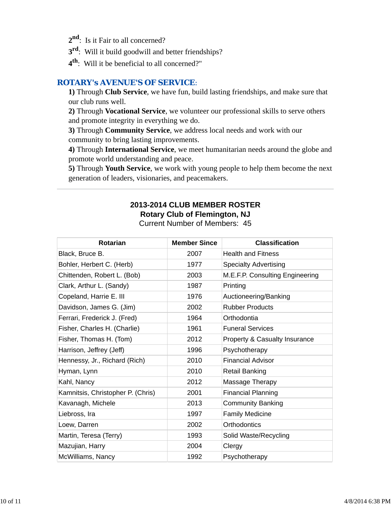- 2<sup>nd</sup>: Is it Fair to all concerned?
- **3rd**: Will it build goodwill and better friendships?
- **4th**: Will it be beneficial to all concerned?"

## *ROTARY's AVENUE'S OF SERVICE*:

**1)** Through **Club Service**, we have fun, build lasting friendships, and make sure that our club runs well.

**2)** Through **Vocational Service**, we volunteer our professional skills to serve others and promote integrity in everything we do.

**3)** Through **Community Service**, we address local needs and work with our community to bring lasting improvements.

**4)** Through **International Service**, we meet humanitarian needs around the globe and promote world understanding and peace.

**5)** Through **Youth Service**, we work with young people to help them become the next generation of leaders, visionaries, and peacemakers.

#### **2013-2014 CLUB MEMBER ROSTER Rotary Club of Flemington, NJ** Current Number of Members: 45

| <b>Rotarian</b>                   | <b>Member Since</b> | <b>Classification</b>           |
|-----------------------------------|---------------------|---------------------------------|
| Black, Bruce B.                   | 2007                | <b>Health and Fitness</b>       |
| Bohler, Herbert C. (Herb)         | 1977                | <b>Specialty Advertising</b>    |
| Chittenden, Robert L. (Bob)       | 2003                | M.E.F.P. Consulting Engineering |
| Clark, Arthur L. (Sandy)          | 1987                | Printing                        |
| Copeland, Harrie E. III           | 1976                | Auctioneering/Banking           |
| Davidson, James G. (Jim)          | 2002                | <b>Rubber Products</b>          |
| Ferrari, Frederick J. (Fred)      | 1964                | Orthodontia                     |
| Fisher, Charles H. (Charlie)      | 1961                | <b>Funeral Services</b>         |
| Fisher, Thomas H. (Tom)           | 2012                | Property & Casualty Insurance   |
| Harrison, Jeffrey (Jeff)          | 1996                | Psychotherapy                   |
| Hennessy, Jr., Richard (Rich)     | 2010                | <b>Financial Advisor</b>        |
| Hyman, Lynn                       | 2010                | <b>Retail Banking</b>           |
| Kahl, Nancy                       | 2012                | Massage Therapy                 |
| Kamnitsis, Christopher P. (Chris) | 2001                | <b>Financial Planning</b>       |
| Kavanagh, Michele                 | 2013                | <b>Community Banking</b>        |
| Liebross, Ira                     | 1997                | <b>Family Medicine</b>          |
| Loew, Darren                      | 2002                | Orthodontics                    |
| Martin, Teresa (Terry)            | 1993                | Solid Waste/Recycling           |
| Mazujian, Harry                   | 2004                | Clergy                          |
| McWilliams, Nancy                 | 1992                | Psychotherapy                   |